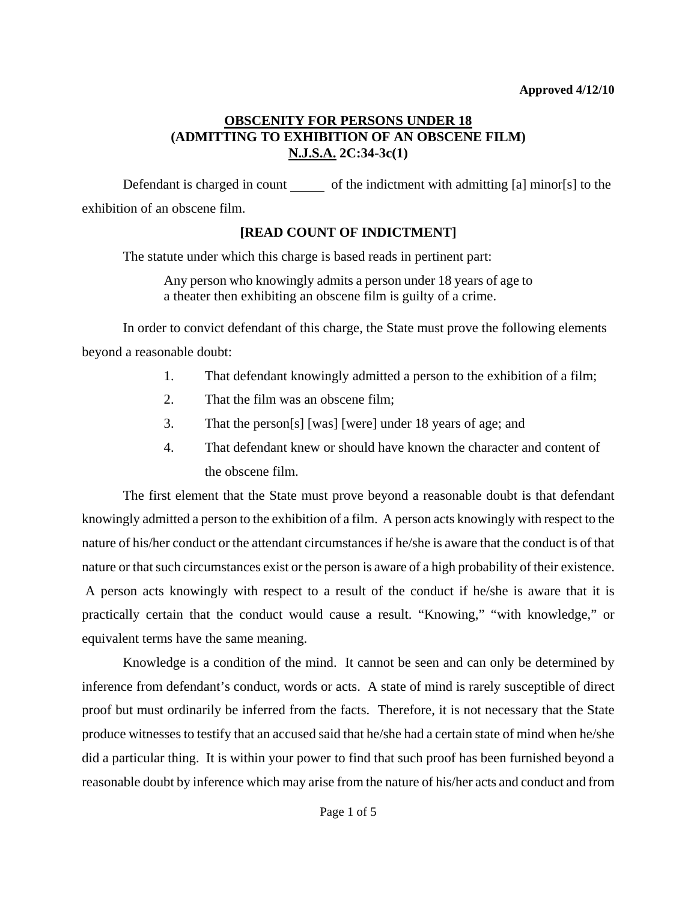Defendant is charged in count  $\qquad \qquad$  of the indictment with admitting [a] minor[s] to the exhibition of an obscene film.

# **[READ COUNT OF INDICTMENT]**

The statute under which this charge is based reads in pertinent part:

Any person who knowingly admits a person under 18 years of age to a theater then exhibiting an obscene film is guilty of a crime.

In order to convict defendant of this charge, the State must prove the following elements beyond a reasonable doubt:

- 1. That defendant knowingly admitted a person to the exhibition of a film;
- 2. That the film was an obscene film;
- 3. That the person[s] [was] [were] under 18 years of age; and
- 4. That defendant knew or should have known the character and content of the obscene film.

The first element that the State must prove beyond a reasonable doubt is that defendant knowingly admitted a person to the exhibition of a film. A person acts knowingly with respect to the nature of his/her conduct or the attendant circumstances if he/she is aware that the conduct is of that nature or that such circumstances exist or the person is aware of a high probability of their existence.

 A person acts knowingly with respect to a result of the conduct if he/she is aware that it is practically certain that the conduct would cause a result. "Knowing," "with knowledge," or equivalent terms have the same meaning.

<span id="page-0-0"></span>Knowledge is a condition of the mind. It cannot be seen and can only be determined by inference from defendant's conduct, words or acts. A state of mind is rarely susceptible of direct proof but must ordinarily be inferred from the facts. Therefore, it is not necessary that the State produce witnesses to testify that an accused said that he/she had a certain state of mind when he/she did a particular thing. It is within your power to find that such proof has been furnished beyond a reasonable doubt by inference which may arise from the nature of his/her acts and conduct and from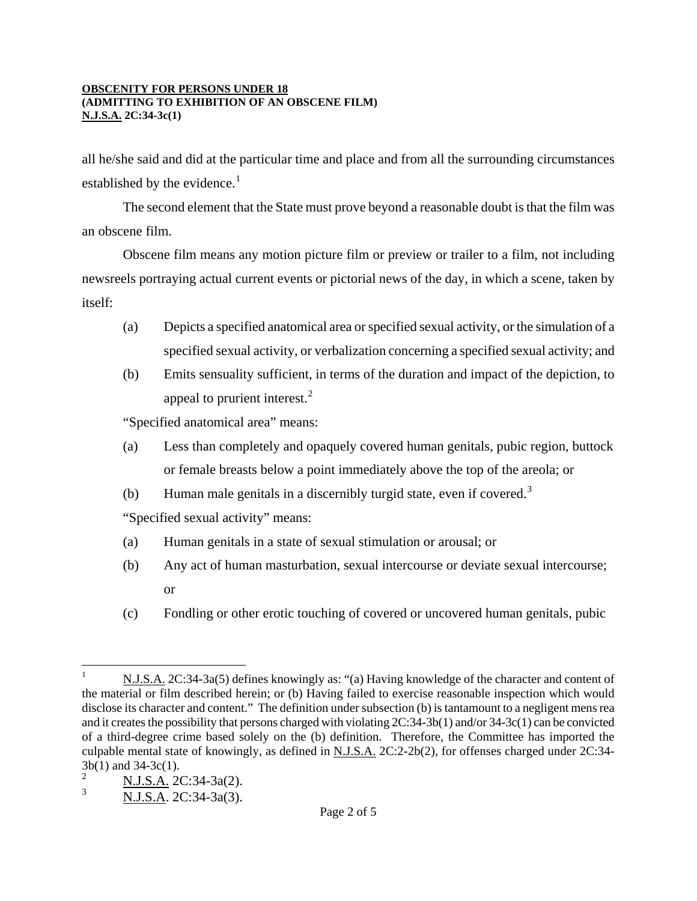all he/she said and did at the particular time and place and from all the surrounding circumstances established by the evidence.<sup>[1](#page-0-0)</sup>

The second element that the State must prove beyond a reasonable doubt is that the film was an obscene film.

Obscene film means any motion picture film or preview or trailer to a film, not including newsreels portraying actual current events or pictorial news of the day, in which a scene, taken by itself:

- (a) Depicts a specified anatomical area or specified sexual activity, or the simulation of a specified sexual activity, or verbalization concerning a specified sexual activity; and
- (b) Emits sensuality sufficient, in terms of the duration and impact of the depiction, to appeal to prurient interest.<sup>[2](#page-1-0)</sup>

"Specified anatomical area" means:

- (a) Less than completely and opaquely covered human genitals, pubic region, buttock or female breasts below a point immediately above the top of the areola; or
- (b) Human male genitals in a discernibly turgid state, even if covered.<sup>[3](#page-1-1)</sup>

"Specified sexual activity" means:

- (a) Human genitals in a state of sexual stimulation or arousal; or
- (b) Any act of human masturbation, sexual intercourse or deviate sexual intercourse; or
- (c) Fondling or other erotic touching of covered or uncovered human genitals, pubic

 $\overline{a}$ 1 N.J.S.A. 2C:34-3a(5) defines knowingly as: "(a) Having knowledge of the character and content of the material or film described herein; or (b) Having failed to exercise reasonable inspection which would disclose its character and content." The definition under subsection (b) is tantamount to a negligent mens rea and it creates the possibility that persons charged with violating 2C:34-3b(1) and/or 34-3c(1) can be convicted of a third-degree crime based solely on the (b) definition. Therefore, the Committee has imported the culpable mental state of knowingly, as defined in N.J.S.A. 2C:2-2b(2), for offenses charged under 2C:34-  $3b(1)$  and 34-3c(1).

<span id="page-1-0"></span>N.J.S.A. 2C:34-3a(2).

<span id="page-1-1"></span><sup>3</sup> N.J.S.A. 2C:34-3a(3).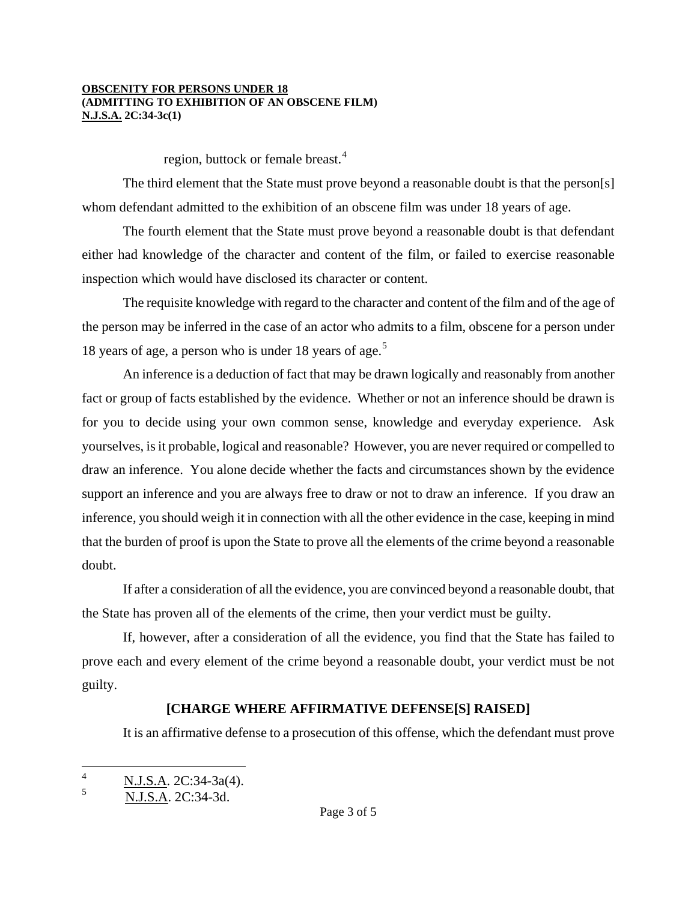region, buttock or female breast.<sup>[4](#page-1-0)</sup>

The third element that the State must prove beyond a reasonable doubt is that the person[s] whom defendant admitted to the exhibition of an obscene film was under 18 years of age.

The fourth element that the State must prove beyond a reasonable doubt is that defendant either had knowledge of the character and content of the film, or failed to exercise reasonable inspection which would have disclosed its character or content.

The requisite knowledge with regard to the character and content of the film and of the age of the person may be inferred in the case of an actor who admits to a film, obscene for a person under 18 years of age, a person who is under 18 years of age.<sup>5</sup>

An inference is a deduction of fact that may be drawn logically and reasonably from another fact or group of facts established by the evidence. Whether or not an inference should be drawn is for you to decide using your own common sense, knowledge and everyday experience. Ask yourselves, is it probable, logical and reasonable? However, you are never required or compelled to draw an inference. You alone decide whether the facts and circumstances shown by the evidence support an inference and you are always free to draw or not to draw an inference. If you draw an inference, you should weigh it in connection with all the other evidence in the case, keeping in mind that the burden of proof is upon the State to prove all the elements of the crime beyond a reasonable doubt.

If after a consideration of all the evidence, you are convinced beyond a reasonable doubt, that the State has proven all of the elements of the crime, then your verdict must be guilty.

If, however, after a consideration of all the evidence, you find that the State has failed to prove each and every element of the crime beyond a reasonable doubt, your verdict must be not guilty.

## **[CHARGE WHERE AFFIRMATIVE DEFENSE[S] RAISED]**

It is an affirmative defense to a prosecution of this offense, which the defendant must prove

<span id="page-2-1"></span> $\frac{1}{4}$  $\frac{N.I.S.A. 2C:34-3a(4).}{N.I.S.A. 2C:34-3a(4).}$ 

<span id="page-2-0"></span><sup>5</sup> N.J.S.A. 2C:34-3d.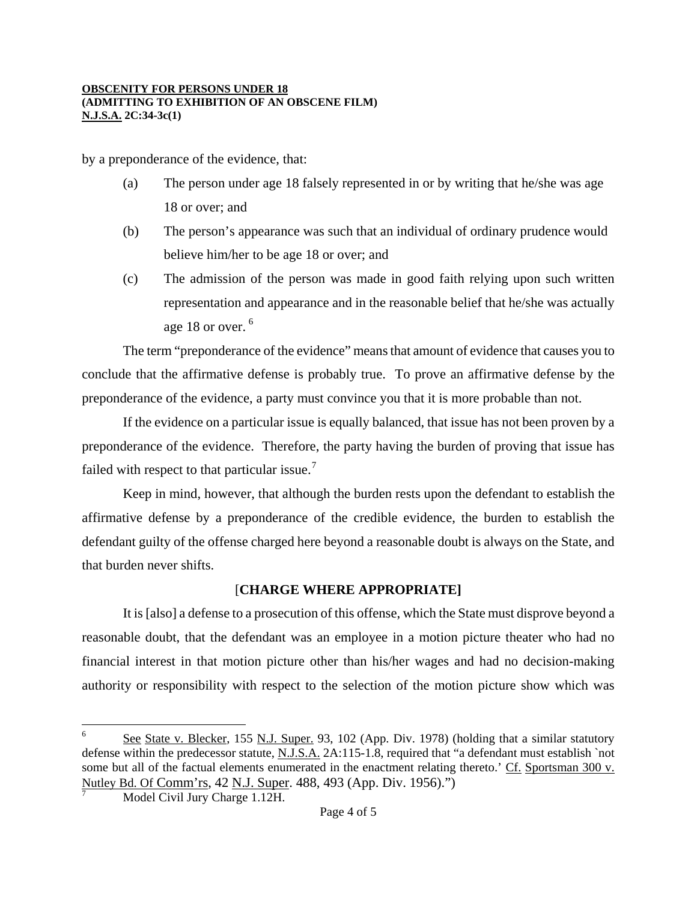by a preponderance of the evidence, that:

- (a) The person under age 18 falsely represented in or by writing that he/she was age 18 or over; and
- (b) The person's appearance was such that an individual of ordinary prudence would believe him/her to be age 18 or over; and
- (c) The admission of the person was made in good faith relying upon such written representation and appearance and in the reasonable belief that he/she was actually age 18 or over.  $^6$  $^6$

The term "preponderance of the evidence" means that amount of evidence that causes you to conclude that the affirmative defense is probably true. To prove an affirmative defense by the preponderance of the evidence, a party must convince you that it is more probable than not.

If the evidence on a particular issue is equally balanced, that issue has not been proven by a preponderance of the evidence. Therefore, the party having the burden of proving that issue has failed with respect to that particular issue.<sup>[7](#page-3-0)</sup>

Keep in mind, however, that although the burden rests upon the defendant to establish the affirmative defense by a preponderance of the credible evidence, the burden to establish the defendant guilty of the offense charged here beyond a reasonable doubt is always on the State, and that burden never shifts.

# [**CHARGE WHERE APPROPRIATE]**

It is [also] a defense to a prosecution of this offense, which the State must disprove beyond a reasonable doubt, that the defendant was an employee in a motion picture theater who had no financial interest in that motion picture other than his/her wages and had no decision-making authority or responsibility with respect to the selection of the motion picture show which was

 $\overline{a}$ 

<span id="page-3-0"></span> $6$  See State v. Blecker, 155 N.J. Super. 93, 102 (App. Div. 1978) (holding that a similar statutory defense within the predecessor statute, N.J.S.A. 2A:115-1.8, required that "a defendant must establish `not some but all of the factual elements enumerated in the enactment relating thereto.' Cf. Sportsman 300 v. Nutley Bd. Of Comm'rs, 42 N.J. Super. 488, 493 (App. Div. 1956).")

Model Civil Jury Charge 1.12H.